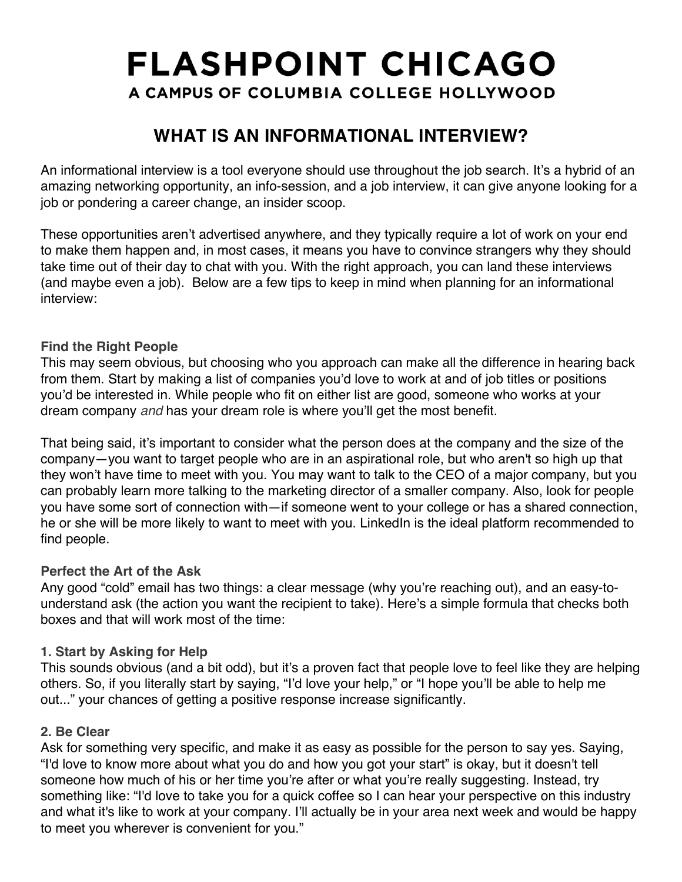# **WHAT IS AN INFORMATIONAL INTERVIEW?**

An informational interview is a tool everyone should use throughout the job search. It's a hybrid of an amazing networking opportunity, an info-session, and a job interview, it can give anyone looking for a job or pondering a career change, an insider scoop.

These opportunities aren't advertised anywhere, and they typically require a lot of work on your end to make them happen and, in most cases, it means you have to convince strangers why they should take time out of their day to chat with you. With the right approach, you can land these interviews (and maybe even a job). Below are a few tips to keep in mind when planning for an informational interview:

### **Find the Right People**

This may seem obvious, but choosing who you approach can make all the difference in hearing back from them. Start by making a list of companies you'd love to work at and of job titles or positions you'd be interested in. While people who fit on either list are good, someone who works at your dream company *and* has your dream role is where you'll get the most benefit.

That being said, it's important to consider what the person does at the company and the size of the company—you want to target people who are in an aspirational role, but who aren't so high up that they won't have time to meet with you. You may want to talk to the CEO of a major company, but you can probably learn more talking to the marketing director of a smaller company. Also, look for people you have some sort of connection with—if someone went to your college or has a shared connection, he or she will be more likely to want to meet with you. LinkedIn is the ideal platform recommended to find people.

#### **Perfect the Art of the Ask**

Any good "cold" email has two things: a clear message (why you're reaching out), and an easy-tounderstand ask (the action you want the recipient to take). Here's a simple formula that checks both boxes and that will work most of the time:

### **1. Start by Asking for Help**

This sounds obvious (and a bit odd), but it's a proven fact that people love to feel like they are helping others. So, if you literally start by saying, "I'd love your help," or "I hope you'll be able to help me out..." your chances of getting a positive response increase significantly.

#### **2. Be Clear**

Ask for something very specific, and make it as easy as possible for the person to say yes. Saying, "I'd love to know more about what you do and how you got your start" is okay, but it doesn't tell someone how much of his or her time you're after or what you're really suggesting. Instead, try something like: "I'd love to take you for a quick coffee so I can hear your perspective on this industry and what it's like to work at your company. I'll actually be in your area next week and would be happy to meet you wherever is convenient for you."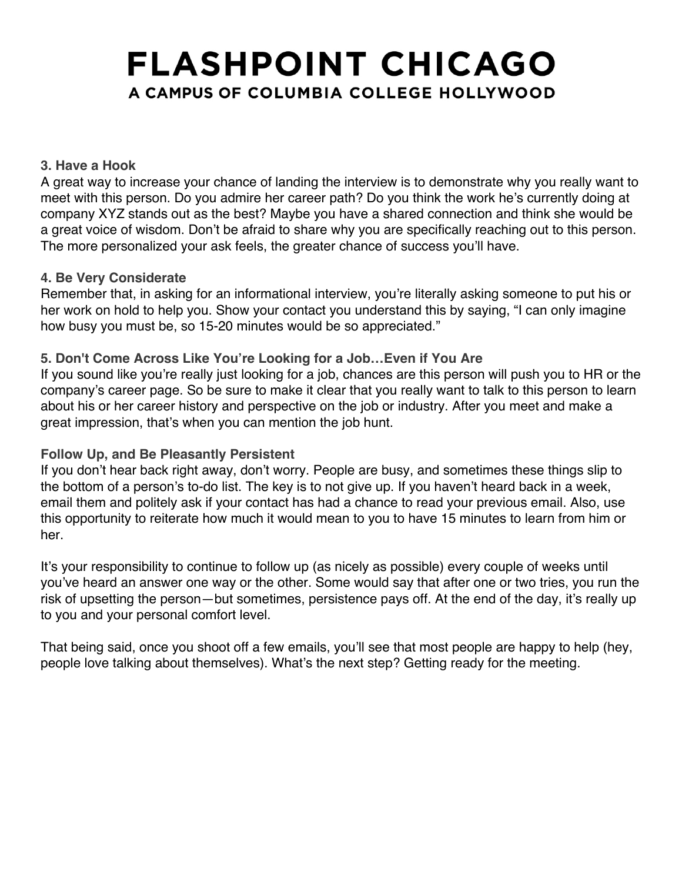#### **3. Have a Hook**

A great way to increase your chance of landing the interview is to demonstrate why you really want to meet with this person. Do you admire her career path? Do you think the work he's currently doing at company XYZ stands out as the best? Maybe you have a shared connection and think she would be a great voice of wisdom. Don't be afraid to share why you are specifically reaching out to this person. The more personalized your ask feels, the greater chance of success you'll have.

#### **4. Be Very Considerate**

Remember that, in asking for an informational interview, you're literally asking someone to put his or her work on hold to help you. Show your contact you understand this by saying, "I can only imagine how busy you must be, so 15-20 minutes would be so appreciated."

#### **5. Don't Come Across Like You're Looking for a Job…Even if You Are**

If you sound like you're really just looking for a job, chances are this person will push you to HR or the company's career page. So be sure to make it clear that you really want to talk to this person to learn about his or her career history and perspective on the job or industry. After you meet and make a great impression, that's when you can mention the job hunt.

#### **Follow Up, and Be Pleasantly Persistent**

If you don't hear back right away, don't worry. People are busy, and sometimes these things slip to the bottom of a person's to-do list. The key is to not give up. If you haven't heard back in a week, email them and politely ask if your contact has had a chance to read your previous email. Also, use this opportunity to reiterate how much it would mean to you to have 15 minutes to learn from him or her.

It's your responsibility to continue to follow up (as nicely as possible) every couple of weeks until you've heard an answer one way or the other. Some would say that after one or two tries, you run the risk of upsetting the person—but sometimes, persistence pays off. At the end of the day, it's really up to you and your personal comfort level.

That being said, once you shoot off a few emails, you'll see that most people are happy to help (hey, people love talking about themselves). What's the next step? Getting ready for the meeting.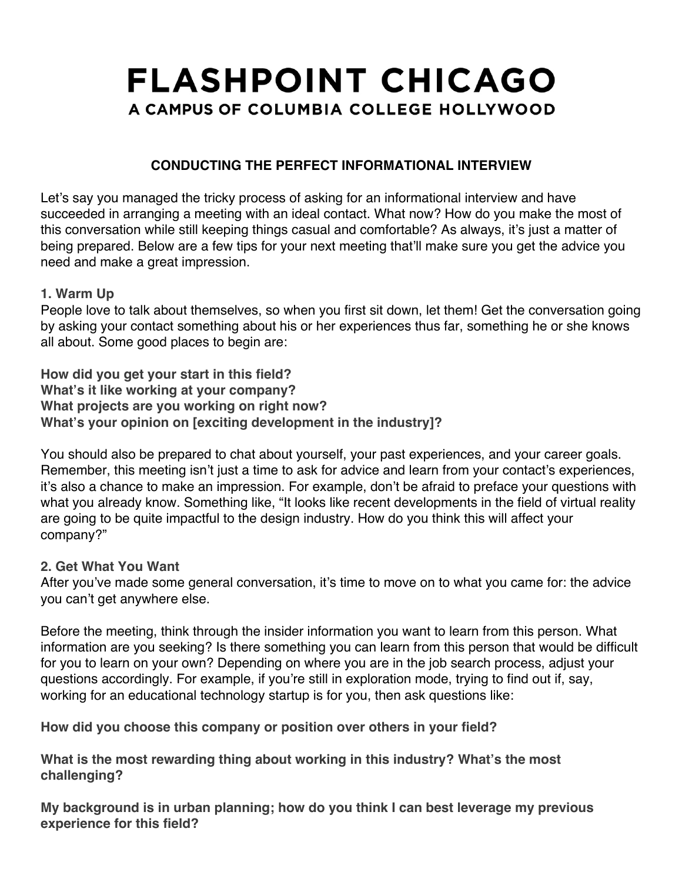## **CONDUCTING THE PERFECT INFORMATIONAL INTERVIEW**

Let's say you managed the tricky process of asking for an informational interview and have succeeded in arranging a meeting with an ideal contact. What now? How do you make the most of this conversation while still keeping things casual and comfortable? As always, it's just a matter of being prepared. Below are a few tips for your next meeting that'll make sure you get the advice you need and make a great impression.

#### **1. Warm Up**

People love to talk about themselves, so when you first sit down, let them! Get the conversation going by asking your contact something about his or her experiences thus far, something he or she knows all about. Some good places to begin are:

**How did you get your start in this field? What's it like working at your company? What projects are you working on right now? What's your opinion on [exciting development in the industry]?**

You should also be prepared to chat about yourself, your past experiences, and your career goals. Remember, this meeting isn't just a time to ask for advice and learn from your contact's experiences, it's also a chance to make an impression. For example, don't be afraid to preface your questions with what you already know. Something like, "It looks like recent developments in the field of virtual reality are going to be quite impactful to the design industry. How do you think this will affect your company?"

### **2. Get What You Want**

After you've made some general conversation, it's time to move on to what you came for: the advice you can't get anywhere else.

Before the meeting, think through the insider information you want to learn from this person. What information are you seeking? Is there something you can learn from this person that would be difficult for you to learn on your own? Depending on where you are in the job search process, adjust your questions accordingly. For example, if you're still in exploration mode, trying to find out if, say, working for an educational technology startup is for you, then ask questions like:

**How did you choose this company or position over others in your field?**

**What is the most rewarding thing about working in this industry? What's the most challenging?**

**My background is in urban planning; how do you think I can best leverage my previous experience for this field?**